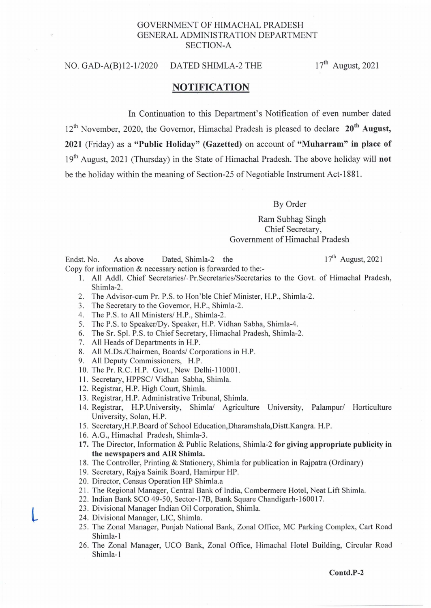## GOVERNMENT OF HIMACHAL PRADESH GENERAL ADMINISTRATION DEPARTMENT SECTION-A

## NO. GAD-A(B)12-1/2020 DATED SHIMLA-2 THE 17<sup>th</sup> August, 2021

## **NOTIFICATION**

In Continuation to this Department's Notification of even number dated

 $12<sup>th</sup>$  November, 2020, the Governor, Himachal Pradesh is pleased to declare  $20<sup>th</sup>$  August, 2021 (Friday) as a "Public Holiday" (Gazetted) on account of "Muharram" **in** place of 19<sup>th</sup> August, 2021 (Thursday) in the State of Himachal Pradesh. The above holiday will **not** be the holiday within the meaning of Section-25 of Negotiable Instrument Act-188l.

## By Order

Ram Subhag Singh Chief Secretary, Government of Himachal Pradesh

Endst. No. As above Dated, Shimla-2 the 17<sup>th</sup> August, 2021 Copy for information & necessary action is forwarded to the:-

- 1. All Add!. Chief Secretaries/ Pr.Secretaries/Secretaries to the Govt. of Himachal Pradesh, Shimla-2.
- 2. The Advisor-cum Pr. P.S. to Hon'ble Chief Minister, H.P., Shimla-2.
- 3. The Secretary to the Governor, H.P., Shimla-2.
- 4. The P.S. to All Ministers/ H.P., Shimla-2.
- 5. The P.S. to Speaker/Dy. Speaker, H.P. Vidhan Sabha, Shimla-4.
- 6. The Sr. Spl. P.S. to Chief Secretary, Himachal Pradesh, Shimla-2.
- 7. All Heads of Departments in H.P.
- 8. All M.Ds./Chairmen, Boards/ Corporations in H.P.
- 9. All Deputy Commissioners, H.P.
- 10. The Pr. R.C. H.P. Govt., New Delhi-110001.
- II . Secretary, HPPSC/ Vidhan Sabha, Shimla.
- 12. Registrar, H.P. High Court, Shimla.
- 13. Registrar, H.P. Administrative Tribunal, Shimla.
- 14. Registrar, H.P.University, Shimla/ Agriculture University, Palampur/ Horticulture University, Solan, H.P.
- IS . Secretary,H.P.Board of School Education,Dharamshala,Distt.Kangra. H.P.
- 16. A.G., Himachal Pradesh, Shimla-3.
- 17. The Director, Information & Public Relations, Shimla-2 for giving appropriate publicity in the newspapers and AIR Shimla.
- 18. The Controller, Printing & Stationery, Shimla for publication in Rajpatra (Ordinary)
- 19. Secretary, Rajya Sainik Board, Hamirpur HP.
- 20. Director, Census Operation HP Shimla.a
- 21 . The Regional Manager, Central Bank of India, Combermere Hotel, Neat Lift Shimla.
- 22. Indian Bank SCO 49-50, Sector-17B, Bank Square Chandigarh-1600 17.
- 23 . Divisional Manager Indian Oil Corporation, Shimla.
- 24. Divisional Manager, LIC, Shimla.
- 25. The Zonal Manager, Punjab National Bank, Zonal Office, MC Parking Complex, Cart Road Shimla-I
- 26. The Zonal Manager, UCO Bank, Zonal Office, Himachal Hotel Building, Circular Road Shimla-I